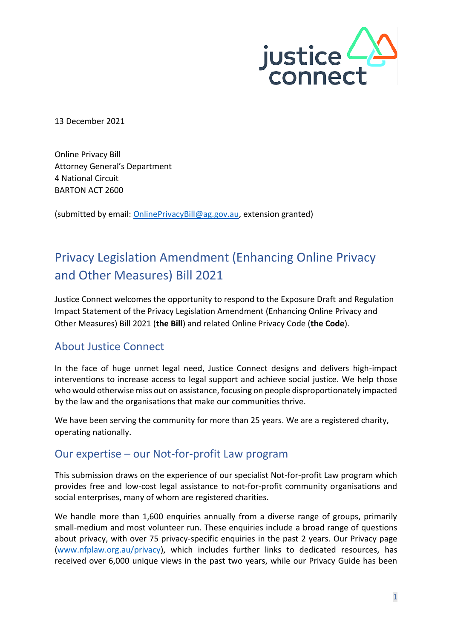

13 December 2021

Online Privacy Bill Attorney General's Department 4 National Circuit BARTON ACT 2600

(submitted by email: [OnlinePrivacyBill@ag.gov.au,](mailto:OnlinePrivacyBill@ag.gov.au) extension granted)

# Privacy Legislation Amendment (Enhancing Online Privacy and Other Measures) Bill 2021

Justice Connect welcomes the opportunity to respond to the Exposure Draft and Regulation Impact Statement of the Privacy Legislation Amendment (Enhancing Online Privacy and Other Measures) Bill 2021 (**the Bill**) and related Online Privacy Code (**the Code**).

### About Justice Connect

In the face of huge unmet legal need, Justice Connect designs and delivers high-impact interventions to increase access to legal support and achieve social justice. We help those who would otherwise miss out on assistance, focusing on people disproportionately impacted by the law and the organisations that make our communities thrive.

We have been serving the community for more than 25 years. We are a registered charity, operating nationally.

### Our expertise – our Not-for-profit Law program

This submission draws on the experience of our specialist Not-for-profit Law program which provides free and low-cost legal assistance to not-for-profit community organisations and social enterprises, many of whom are registered charities.

We handle more than 1,600 enquiries annually from a diverse range of groups, primarily small-medium and most volunteer run. These enquiries include a broad range of questions about privacy, with over 75 privacy-specific enquiries in the past 2 years. Our Privacy page [\(www.nfplaw.org.au/privacy\)](https://www.nfplaw.org.au/privacy), which includes further links to dedicated resources, has received over 6,000 unique views in the past two years, while our Privacy Guide has been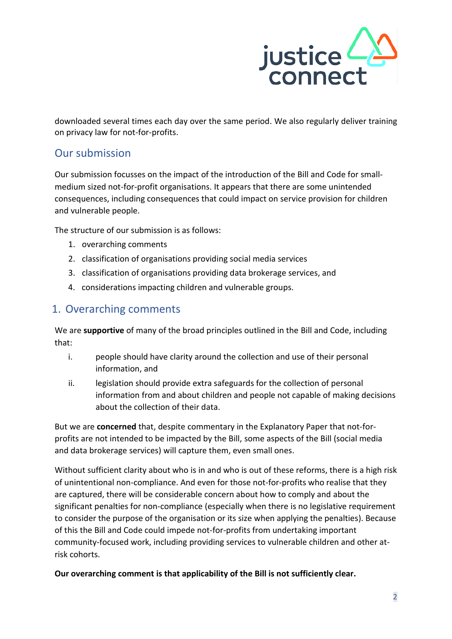

downloaded several times each day over the same period. We also regularly deliver training on privacy law for not-for-profits.

## Our submission

Our submission focusses on the impact of the introduction of the Bill and Code for smallmedium sized not-for-profit organisations. It appears that there are some unintended consequences, including consequences that could impact on service provision for children and vulnerable people.

The structure of our submission is as follows:

- 1. overarching comments
- 2. classification of organisations providing social media services
- 3. classification of organisations providing data brokerage services, and
- 4. considerations impacting children and vulnerable groups.

## 1. Overarching comments

We are **supportive** of many of the broad principles outlined in the Bill and Code, including that:

- i. people should have clarity around the collection and use of their personal information, and
- ii. legislation should provide extra safeguards for the collection of personal information from and about children and people not capable of making decisions about the collection of their data.

But we are **concerned** that, despite commentary in the Explanatory Paper that not-forprofits are not intended to be impacted by the Bill, some aspects of the Bill (social media and data brokerage services) will capture them, even small ones.

Without sufficient clarity about who is in and who is out of these reforms, there is a high risk of unintentional non-compliance. And even for those not-for-profits who realise that they are captured, there will be considerable concern about how to comply and about the significant penalties for non-compliance (especially when there is no legislative requirement to consider the purpose of the organisation or its size when applying the penalties). Because of this the Bill and Code could impede not-for-profits from undertaking important community-focused work, including providing services to vulnerable children and other atrisk cohorts.

**Our overarching comment is that applicability of the Bill is not sufficiently clear.**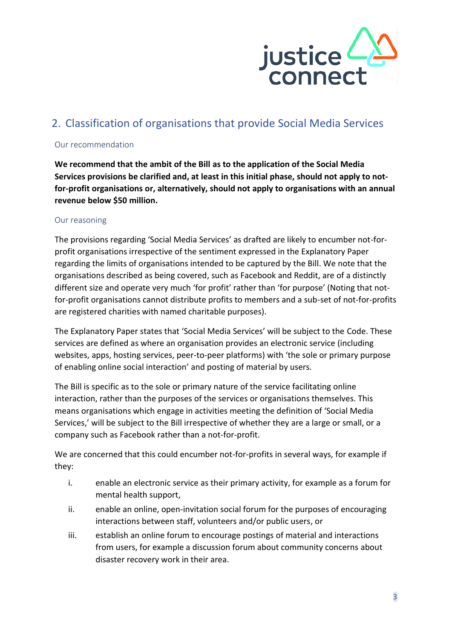

## 2. Classification of organisations that provide Social Media Services

#### Our recommendation

**We recommend that the ambit of the Bill as to the application of the Social Media Services provisions be clarified and, at least in this initial phase, should not apply to notfor-profit organisations or, alternatively, should not apply to organisations with an annual revenue below \$50 million.**

#### Our reasoning

The provisions regarding 'Social Media Services' as drafted are likely to encumber not-forprofit organisations irrespective of the sentiment expressed in the Explanatory Paper regarding the limits of organisations intended to be captured by the Bill. We note that the organisations described as being covered, such as Facebook and Reddit, are of a distinctly different size and operate very much 'for profit' rather than 'for purpose' (Noting that notfor-profit organisations cannot distribute profits to members and a sub-set of not-for-profits are registered charities with named charitable purposes).

The Explanatory Paper states that 'Social Media Services' will be subject to the Code. These services are defined as where an organisation provides an electronic service (including websites, apps, hosting services, peer-to-peer platforms) with 'the sole or primary purpose of enabling online social interaction' and posting of material by users.

The Bill is specific as to the sole or primary nature of the service facilitating online interaction, rather than the purposes of the services or organisations themselves. This means organisations which engage in activities meeting the definition of 'Social Media Services,' will be subject to the Bill irrespective of whether they are a large or small, or a company such as Facebook rather than a not-for-profit.

We are concerned that this could encumber not-for-profits in several ways, for example if they:

- i. enable an electronic service as their primary activity, for example as a forum for mental health support,
- ii. enable an online, open-invitation social forum for the purposes of encouraging interactions between staff, volunteers and/or public users, or
- iii. establish an online forum to encourage postings of material and interactions from users, for example a discussion forum about community concerns about disaster recovery work in their area.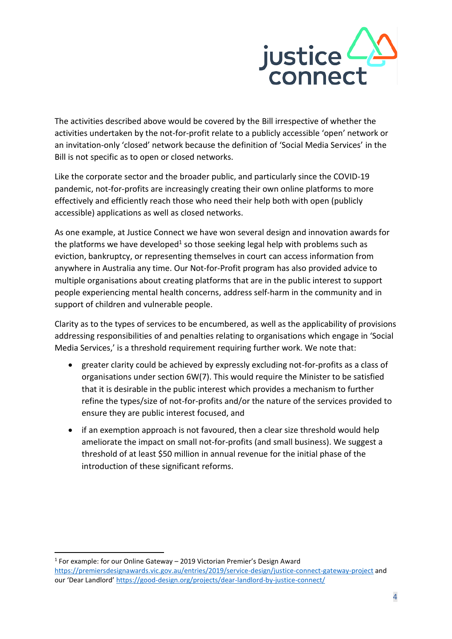

The activities described above would be covered by the Bill irrespective of whether the activities undertaken by the not-for-profit relate to a publicly accessible 'open' network or an invitation-only 'closed' network because the definition of 'Social Media Services' in the Bill is not specific as to open or closed networks.

Like the corporate sector and the broader public, and particularly since the COVID-19 pandemic, not-for-profits are increasingly creating their own online platforms to more effectively and efficiently reach those who need their help both with open (publicly accessible) applications as well as closed networks.

As one example, at Justice Connect we have won several design and innovation awards for the platforms we have developed<sup>1</sup> so those seeking legal help with problems such as eviction, bankruptcy, or representing themselves in court can access information from anywhere in Australia any time. Our Not-for-Profit program has also provided advice to multiple organisations about creating platforms that are in the public interest to support people experiencing mental health concerns, address self-harm in the community and in support of children and vulnerable people.

Clarity as to the types of services to be encumbered, as well as the applicability of provisions addressing responsibilities of and penalties relating to organisations which engage in 'Social Media Services,' is a threshold requirement requiring further work. We note that:

- greater clarity could be achieved by expressly excluding not-for-profits as a class of organisations under section 6W(7). This would require the Minister to be satisfied that it is desirable in the public interest which provides a mechanism to further refine the types/size of not-for-profits and/or the nature of the services provided to ensure they are public interest focused, and
- if an exemption approach is not favoured, then a clear size threshold would help ameliorate the impact on small not-for-profits (and small business). We suggest a threshold of at least \$50 million in annual revenue for the initial phase of the introduction of these significant reforms.

<sup>1</sup> For example: for our Online Gateway - 2019 Victorian Premier's Design Award

<https://premiersdesignawards.vic.gov.au/entries/2019/service-design/justice-connect-gateway-project> and our 'Dear Landlord' <https://good-design.org/projects/dear-landlord-by-justice-connect/>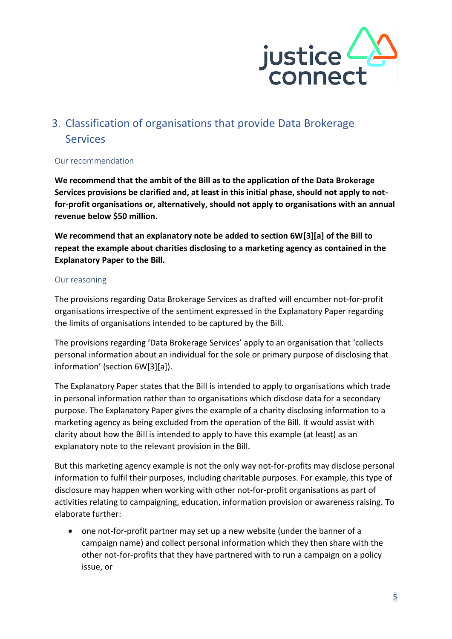

## 3. Classification of organisations that provide Data Brokerage Services

#### Our recommendation

**We recommend that the ambit of the Bill as to the application of the Data Brokerage Services provisions be clarified and, at least in this initial phase, should not apply to notfor-profit organisations or, alternatively, should not apply to organisations with an annual revenue below \$50 million.**

**We recommend that an explanatory note be added to section 6W[3][a] of the Bill to repeat the example about charities disclosing to a marketing agency as contained in the Explanatory Paper to the Bill.**

#### Our reasoning

The provisions regarding Data Brokerage Services as drafted will encumber not-for-profit organisations irrespective of the sentiment expressed in the Explanatory Paper regarding the limits of organisations intended to be captured by the Bill.

The provisions regarding 'Data Brokerage Services' apply to an organisation that 'collects personal information about an individual for the sole or primary purpose of disclosing that information' (section 6W[3][a]).

The Explanatory Paper states that the Bill is intended to apply to organisations which trade in personal information rather than to organisations which disclose data for a secondary purpose. The Explanatory Paper gives the example of a charity disclosing information to a marketing agency as being excluded from the operation of the Bill. It would assist with clarity about how the Bill is intended to apply to have this example (at least) as an explanatory note to the relevant provision in the Bill.

But this marketing agency example is not the only way not-for-profits may disclose personal information to fulfil their purposes, including charitable purposes. For example, this type of disclosure may happen when working with other not-for-profit organisations as part of activities relating to campaigning, education, information provision or awareness raising. To elaborate further:

• one not-for-profit partner may set up a new website (under the banner of a campaign name) and collect personal information which they then share with the other not-for-profits that they have partnered with to run a campaign on a policy issue, or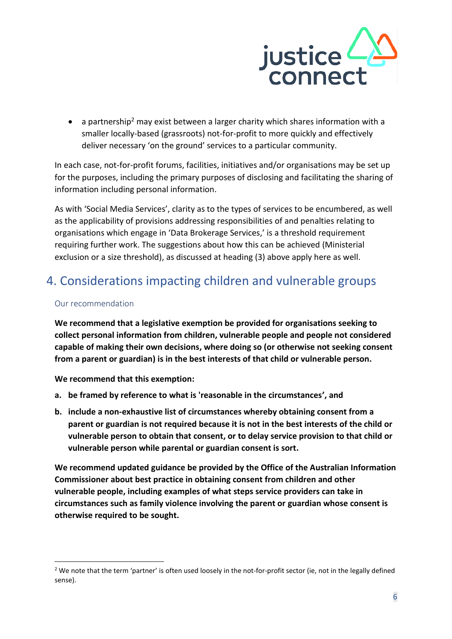

• a partnership<sup>2</sup> may exist between a larger charity which shares information with a smaller locally-based (grassroots) not-for-profit to more quickly and effectively deliver necessary 'on the ground' services to a particular community.

In each case, not-for-profit forums, facilities, initiatives and/or organisations may be set up for the purposes, including the primary purposes of disclosing and facilitating the sharing of information including personal information.

As with 'Social Media Services', clarity as to the types of services to be encumbered, as well as the applicability of provisions addressing responsibilities of and penalties relating to organisations which engage in 'Data Brokerage Services,' is a threshold requirement requiring further work. The suggestions about how this can be achieved (Ministerial exclusion or a size threshold), as discussed at heading (3) above apply here as well.

## 4. Considerations impacting children and vulnerable groups

#### Our recommendation

**We recommend that a legislative exemption be provided for organisations seeking to collect personal information from children, vulnerable people and people not considered capable of making their own decisions, where doing so (or otherwise not seeking consent from a parent or guardian) is in the best interests of that child or vulnerable person.**

**We recommend that this exemption:**

- **a. be framed by reference to what is 'reasonable in the circumstances', and**
- **b. include a non-exhaustive list of circumstances whereby obtaining consent from a parent or guardian is not required because it is not in the best interests of the child or vulnerable person to obtain that consent, or to delay service provision to that child or vulnerable person while parental or guardian consent is sort.**

**We recommend updated guidance be provided by the Office of the Australian Information Commissioner about best practice in obtaining consent from children and other vulnerable people, including examples of what steps service providers can take in circumstances such as family violence involving the parent or guardian whose consent is otherwise required to be sought.**

<sup>&</sup>lt;sup>2</sup> We note that the term 'partner' is often used loosely in the not-for-profit sector (ie, not in the legally defined sense).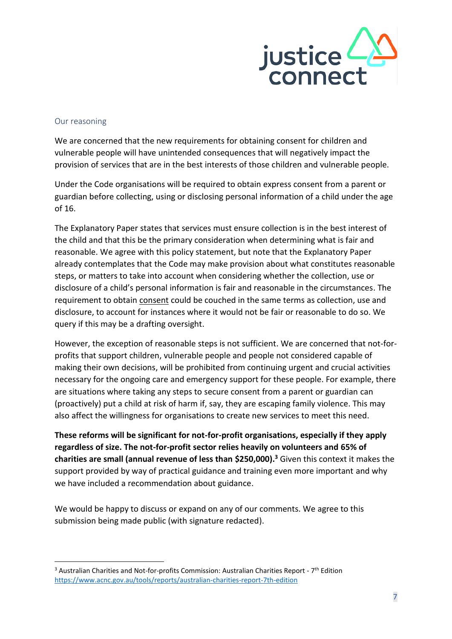

#### Our reasoning

We are concerned that the new requirements for obtaining consent for children and vulnerable people will have unintended consequences that will negatively impact the provision of services that are in the best interests of those children and vulnerable people.

Under the Code organisations will be required to obtain express consent from a parent or guardian before collecting, using or disclosing personal information of a child under the age of 16.

The Explanatory Paper states that services must ensure collection is in the best interest of the child and that this be the primary consideration when determining what is fair and reasonable. We agree with this policy statement, but note that the Explanatory Paper already contemplates that the Code may make provision about what constitutes reasonable steps, or matters to take into account when considering whether the collection, use or disclosure of a child's personal information is fair and reasonable in the circumstances. The requirement to obtain consent could be couched in the same terms as collection, use and disclosure, to account for instances where it would not be fair or reasonable to do so. We query if this may be a drafting oversight.

However, the exception of reasonable steps is not sufficient. We are concerned that not-forprofits that support children, vulnerable people and people not considered capable of making their own decisions, will be prohibited from continuing urgent and crucial activities necessary for the ongoing care and emergency support for these people. For example, there are situations where taking any steps to secure consent from a parent or guardian can (proactively) put a child at risk of harm if, say, they are escaping family violence. This may also affect the willingness for organisations to create new services to meet this need.

**These reforms will be significant for not-for-profit organisations, especially if they apply regardless of size. The not-for-profit sector relies heavily on volunteers and 65% of charities are small (annual revenue of less than \$250,000). <sup>3</sup>** Given this context it makes the support provided by way of practical guidance and training even more important and why we have included a recommendation about guidance.

We would be happy to discuss or expand on any of our comments. We agree to this submission being made public (with signature redacted).

 $3$  Australian Charities and Not-for-profits Commission: Australian Charities Report -  $7<sup>th</sup>$  Edition <https://www.acnc.gov.au/tools/reports/australian-charities-report-7th-edition>